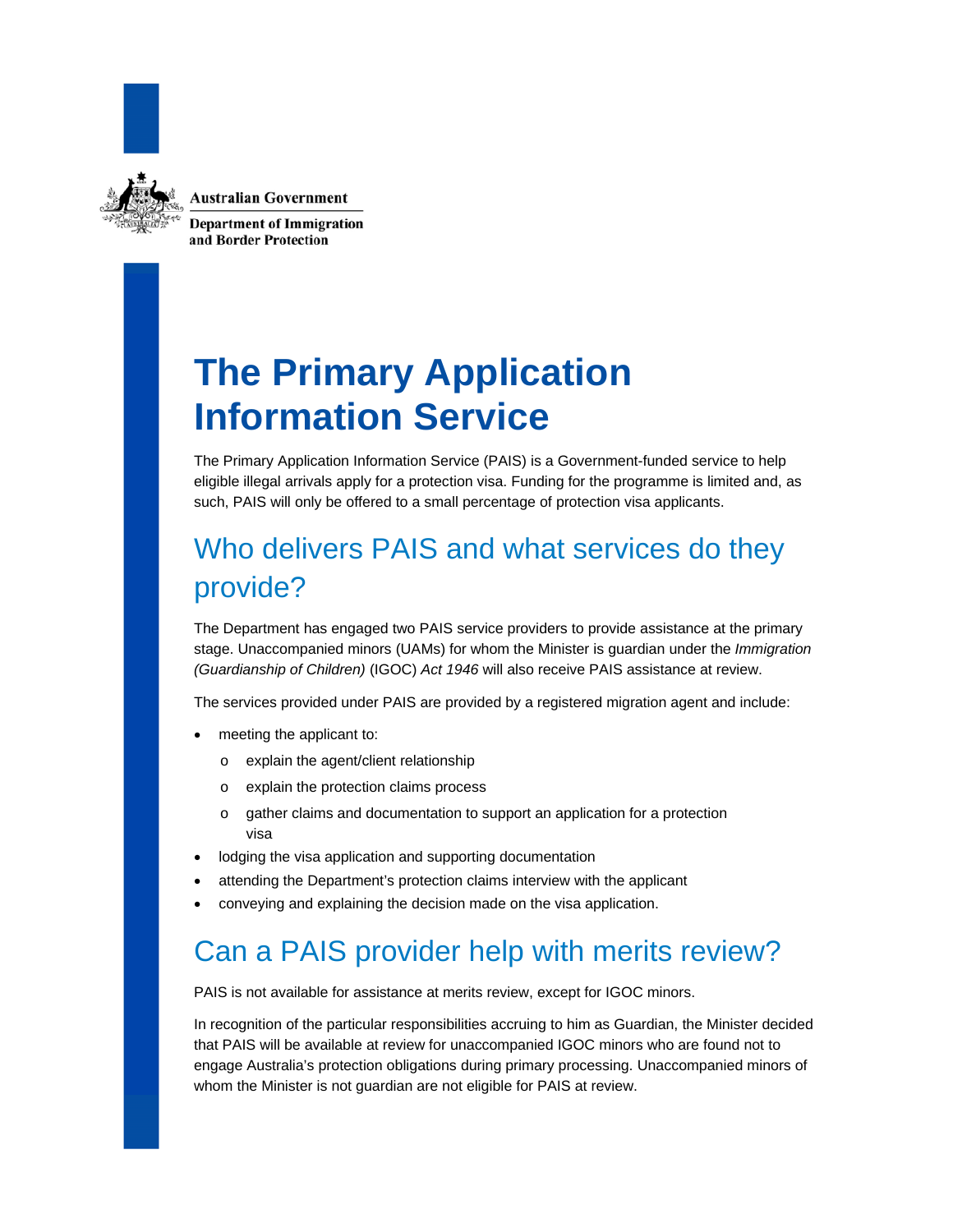

**Australian Government** 

**Department of Immigration** and Border Protection

# **The Primary Application Information Service**

The Primary Application Information Service (PAIS) is a Government-funded service to help eligible illegal arrivals apply for a protection visa. Funding for the programme is limited and, as such, PAIS will only be offered to a small percentage of protection visa applicants.

### Who delivers PAIS and what services do they provide?

The Department has engaged two PAIS service providers to provide assistance at the primary stage. Unaccompanied minors (UAMs) for whom the Minister is guardian under the *Immigration (Guardianship of Children)* (IGOC) *Act 1946* will also receive PAIS assistance at review.

The services provided under PAIS are provided by a registered migration agent and include:

- meeting the applicant to:
	- o explain the agent/client relationship
	- o explain the protection claims process
	- o gather claims and documentation to support an application for a protection visa
- lodging the visa application and supporting documentation
- attending the Department's protection claims interview with the applicant
- conveying and explaining the decision made on the visa application.

### Can a PAIS provider help with merits review?

PAIS is not available for assistance at merits review, except for IGOC minors.

In recognition of the particular responsibilities accruing to him as Guardian, the Minister decided that PAIS will be available at review for unaccompanied IGOC minors who are found not to engage Australia's protection obligations during primary processing. Unaccompanied minors of whom the Minister is not guardian are not eligible for PAIS at review.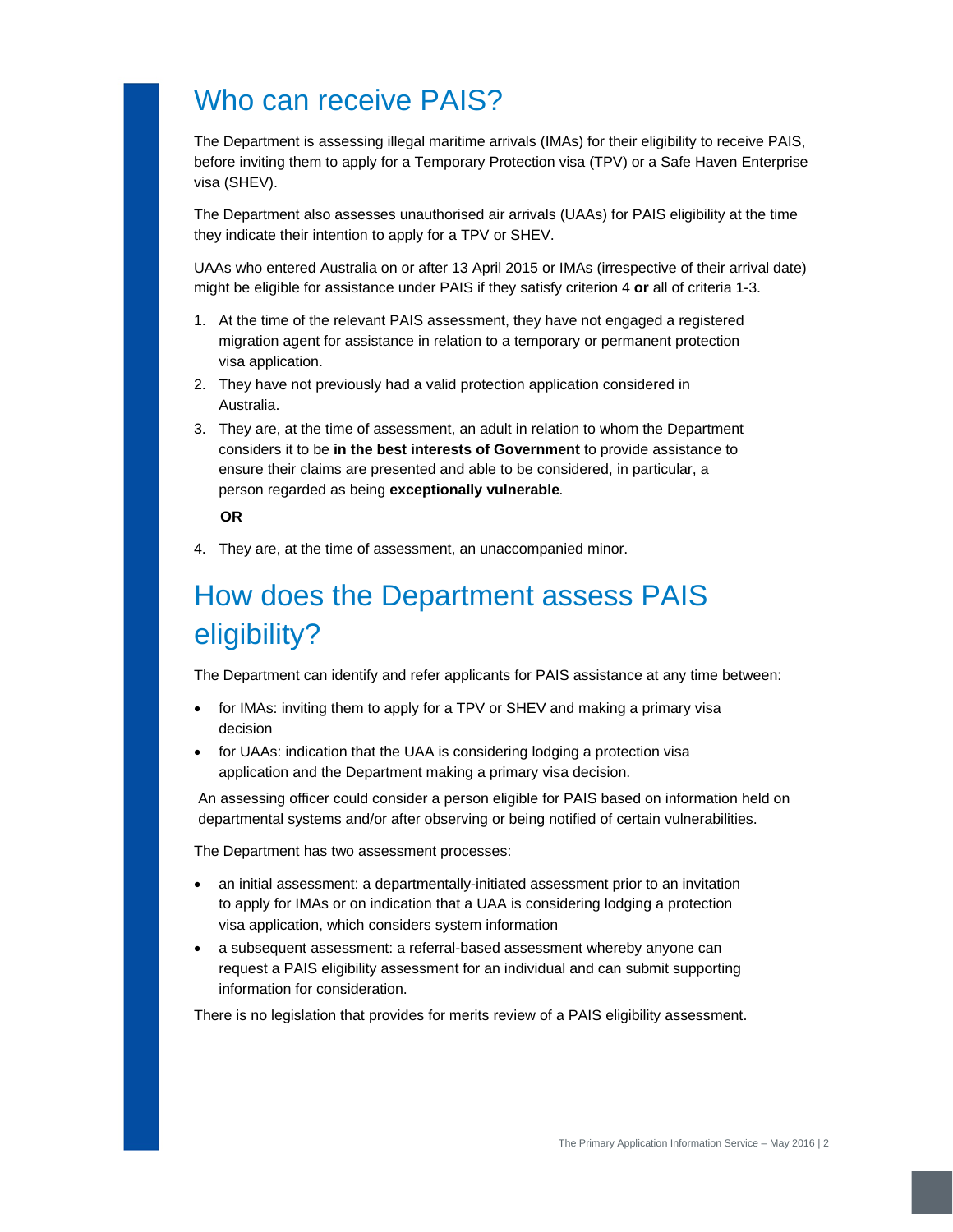### Who can receive PAIS?

The Department is assessing illegal maritime arrivals (IMAs) for their eligibility to receive PAIS, before inviting them to apply for a Temporary Protection visa (TPV) or a Safe Haven Enterprise visa (SHEV).

The Department also assesses unauthorised air arrivals (UAAs) for PAIS eligibility at the time they indicate their intention to apply for a TPV or SHEV.

UAAs who entered Australia on or after 13 April 2015 or IMAs (irrespective of their arrival date) might be eligible for assistance under PAIS if they satisfy criterion 4 **or** all of criteria 1-3.

- 1. At the time of the relevant PAIS assessment, they have not engaged a registered migration agent for assistance in relation to a temporary or permanent protection visa application.
- 2. They have not previously had a valid protection application considered in Australia.
- 3. They are, at the time of assessment, an adult in relation to whom the Department considers it to be **in the best interests of Government** to provide assistance to ensure their claims are presented and able to be considered, in particular, a person regarded as being **exceptionally vulnerable***.*

#### **OR**

4. They are, at the time of assessment, an unaccompanied minor.

### How does the Department assess PAIS eligibility?

The Department can identify and refer applicants for PAIS assistance at any time between:

- for IMAs: inviting them to apply for a TPV or SHEV and making a primary visa decision
- for UAAs: indication that the UAA is considering lodging a protection visa application and the Department making a primary visa decision.

An assessing officer could consider a person eligible for PAIS based on information held on departmental systems and/or after observing or being notified of certain vulnerabilities.

The Department has two assessment processes:

- an initial assessment: a departmentally-initiated assessment prior to an invitation to apply for IMAs or on indication that a UAA is considering lodging a protection visa application, which considers system information
- a subsequent assessment: a referral-based assessment whereby anyone can request a PAIS eligibility assessment for an individual and can submit supporting information for consideration.

There is no legislation that provides for merits review of a PAIS eligibility assessment.